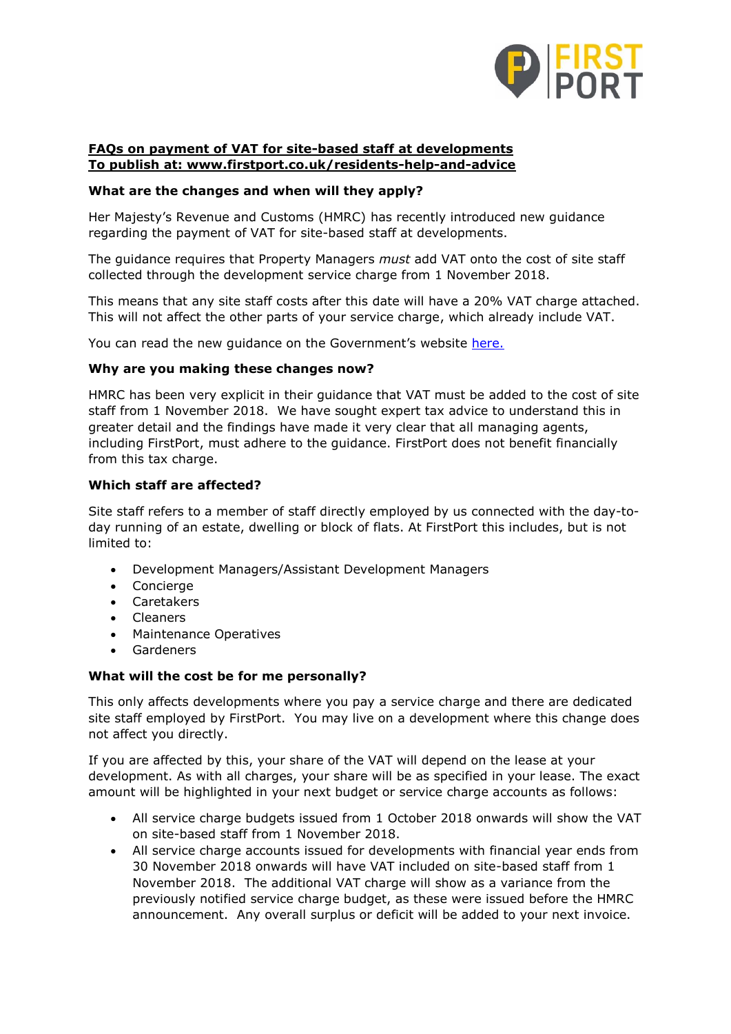

# **FAQs on payment of VAT for site-based staff at developments To publish at: www.firstport.co.uk/residents-help-and-advice**

## **What are the changes and when will they apply?**

Her Majesty's Revenue and Customs (HMRC) has recently introduced new guidance regarding the payment of VAT for site-based staff at developments.

The guidance requires that Property Managers *must* add VAT onto the cost of site staff collected through the development service charge from 1 November 2018.

This means that any site staff costs after this date will have a 20% VAT charge attached. This will not affect the other parts of your service charge, which already include VAT.

You can read the new quidance on the Government's website [here.](https://www.gov.uk/guidance/applying-the-correct-vat-liability-on-residential-domestic-service-charges-vat-information-sheet-0718)

#### **Why are you making these changes now?**

HMRC has been very explicit in their guidance that VAT must be added to the cost of site staff from 1 November 2018. We have sought expert tax advice to understand this in greater detail and the findings have made it very clear that all managing agents, including FirstPort, must adhere to the guidance. FirstPort does not benefit financially from this tax charge.

#### **Which staff are affected?**

Site staff refers to a member of staff directly employed by us connected with the day-today running of an estate, dwelling or block of flats. At FirstPort this includes, but is not limited to:

- Development Managers/Assistant Development Managers
- Concierge
- **Caretakers**
- Cleaners
- Maintenance Operatives
- Gardeners

#### **What will the cost be for me personally?**

This only affects developments where you pay a service charge and there are dedicated site staff employed by FirstPort. You may live on a development where this change does not affect you directly.

If you are affected by this, your share of the VAT will depend on the lease at your development. As with all charges, your share will be as specified in your lease. The exact amount will be highlighted in your next budget or service charge accounts as follows:

- All service charge budgets issued from 1 October 2018 onwards will show the VAT on site-based staff from 1 November 2018.
- All service charge accounts issued for developments with financial year ends from 30 November 2018 onwards will have VAT included on site-based staff from 1 November 2018. The additional VAT charge will show as a variance from the previously notified service charge budget, as these were issued before the HMRC announcement. Any overall surplus or deficit will be added to your next invoice.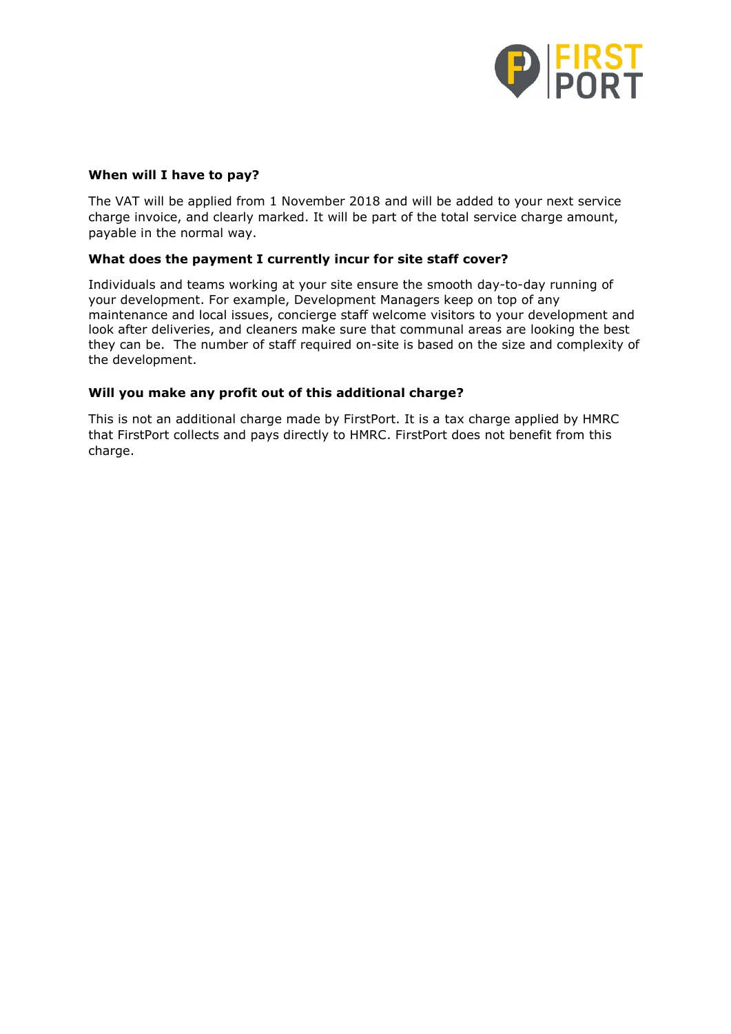

## **When will I have to pay?**

The VAT will be applied from 1 November 2018 and will be added to your next service charge invoice, and clearly marked. It will be part of the total service charge amount, payable in the normal way.

## **What does the payment I currently incur for site staff cover?**

Individuals and teams working at your site ensure the smooth day-to-day running of your development. For example, Development Managers keep on top of any maintenance and local issues, concierge staff welcome visitors to your development and look after deliveries, and cleaners make sure that communal areas are looking the best they can be. The number of staff required on-site is based on the size and complexity of the development.

### **Will you make any profit out of this additional charge?**

This is not an additional charge made by FirstPort. It is a tax charge applied by HMRC that FirstPort collects and pays directly to HMRC. FirstPort does not benefit from this charge.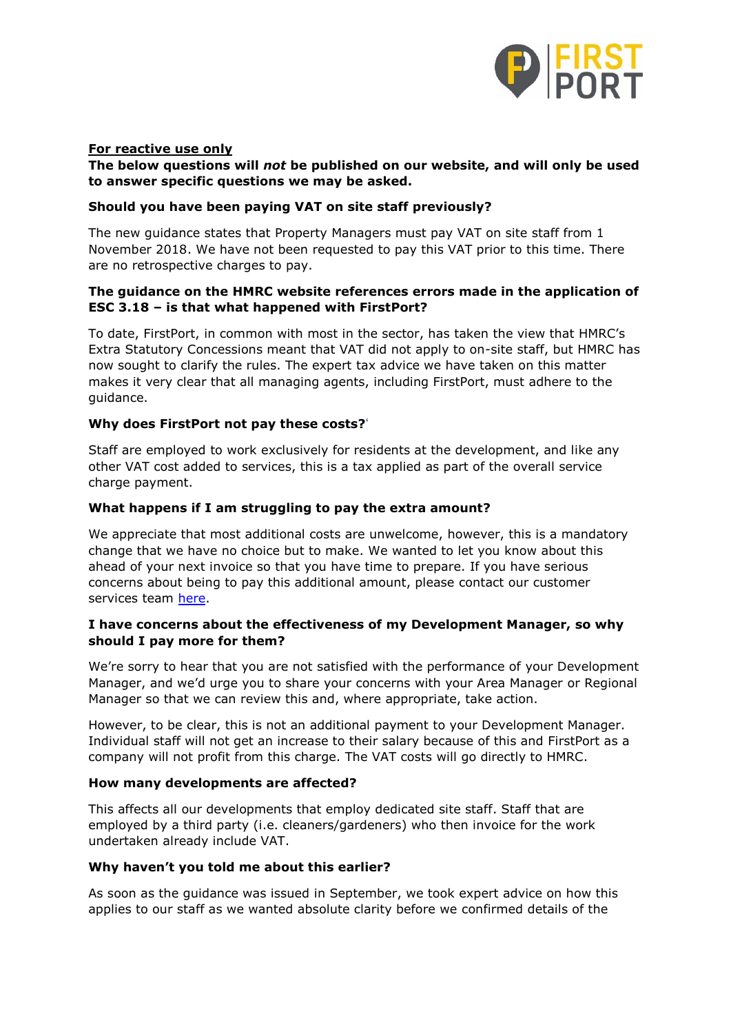

## **For reactive use only**

## **The below questions will** *not* **be published on our website, and will only be used to answer specific questions we may be asked.**

#### **Should you have been paying VAT on site staff previously?**

The new guidance states that Property Managers must pay VAT on site staff from 1 November 2018. We have not been requested to pay this VAT prior to this time. There are no retrospective charges to pay.

## **The guidance on the HMRC website references errors made in the application of ESC 3.18 – is that what happened with FirstPort?**

To date, FirstPort, in common with most in the sector, has taken the view that HMRC's Extra Statutory Concessions meant that VAT did not apply to on-site staff, but HMRC has now sought to clarify the rules. The expert tax advice we have taken on this matter makes it very clear that all managing agents, including FirstPort, must adhere to the guidance.

### **Why does FirstPort not pay these costs?**'

Staff are employed to work exclusively for residents at the development, and like any other VAT cost added to services, this is a tax applied as part of the overall service charge payment.

### **What happens if I am struggling to pay the extra amount?**

We appreciate that most additional costs are unwelcome, however, this is a mandatory change that we have no choice but to make. We wanted to let you know about this ahead of your next invoice so that you have time to prepare. If you have serious concerns about being to pay this additional amount, please contact our customer services team [here.](https://www.firstport.co.uk/contact-details)

### **I have concerns about the effectiveness of my Development Manager, so why should I pay more for them?**

We're sorry to hear that you are not satisfied with the performance of your Development Manager, and we'd urge you to share your concerns with your Area Manager or Regional Manager so that we can review this and, where appropriate, take action.

However, to be clear, this is not an additional payment to your Development Manager. Individual staff will not get an increase to their salary because of this and FirstPort as a company will not profit from this charge. The VAT costs will go directly to HMRC.

#### **How many developments are affected?**

This affects all our developments that employ dedicated site staff. Staff that are employed by a third party (i.e. cleaners/gardeners) who then invoice for the work undertaken already include VAT.

#### **Why haven't you told me about this earlier?**

As soon as the guidance was issued in September, we took expert advice on how this applies to our staff as we wanted absolute clarity before we confirmed details of the